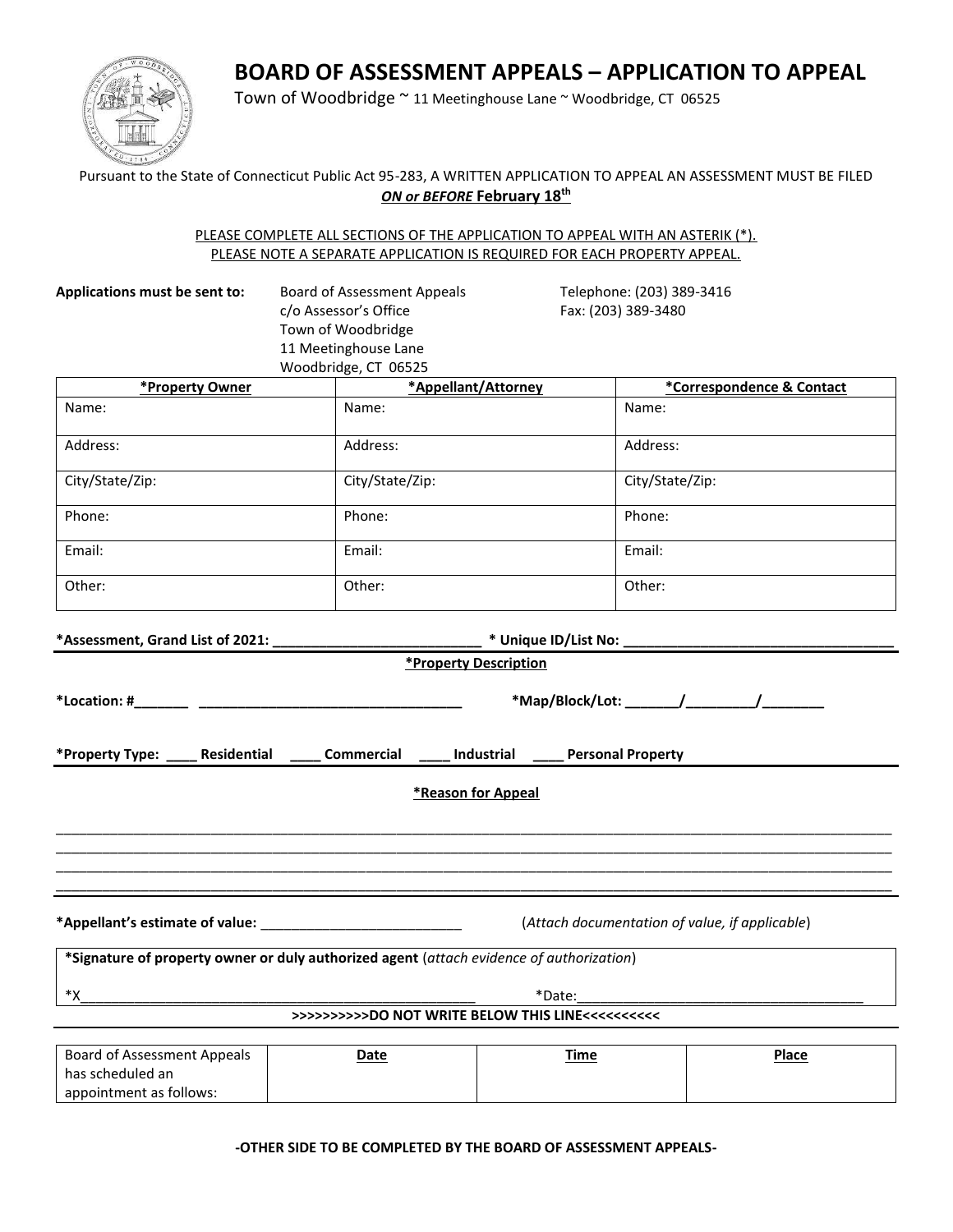# **BOARD OF ASSESSMENT APPEALS – APPLICATION TO APPEAL**



appointment as follows:

Town of Woodbridge ~ 11 Meetinghouse Lane ~ Woodbridge, CT 06525

## Pursuant to the State of Connecticut Public Act 95-283, A WRITTEN APPLICATION TO APPEAL AN ASSESSMENT MUST BE FILED *ON or BEFORE* **February 18th**

#### PLEASE COMPLETE ALL SECTIONS OF THE APPLICATION TO APPEAL WITH AN ASTERIK (\*). PLEASE NOTE A SEPARATE APPLICATION IS REQUIRED FOR EACH PROPERTY APPEAL.

| Applications must be sent to:                                                                                                                           | <b>Board of Assessment Appeals</b><br>c/o Assessor's Office<br>Town of Woodbridge<br>11 Meetinghouse Lane<br>Woodbridge, CT 06525 | Telephone: (203) 389-3416<br>Fax: (203) 389-3480 |                           |  |  |
|---------------------------------------------------------------------------------------------------------------------------------------------------------|-----------------------------------------------------------------------------------------------------------------------------------|--------------------------------------------------|---------------------------|--|--|
| *Property Owner                                                                                                                                         |                                                                                                                                   | *Appellant/Attorney                              | *Correspondence & Contact |  |  |
| Name:                                                                                                                                                   | Name:                                                                                                                             | Name:                                            |                           |  |  |
| Address:                                                                                                                                                | Address:                                                                                                                          | Address:                                         |                           |  |  |
| City/State/Zip:                                                                                                                                         | City/State/Zip:                                                                                                                   | City/State/Zip:                                  |                           |  |  |
| Phone:                                                                                                                                                  | Phone:                                                                                                                            | Phone:                                           |                           |  |  |
| Email:                                                                                                                                                  | Email:                                                                                                                            | Email:                                           |                           |  |  |
| Other:                                                                                                                                                  | Other:                                                                                                                            | Other:                                           |                           |  |  |
| *Assessment, Grand List of 2021: ____________________<br>*Property Type: _____ Residential ______ Commercial ______ Industrial ______ Personal Property |                                                                                                                                   | *Property Description                            |                           |  |  |
|                                                                                                                                                         |                                                                                                                                   | *Reason for Appeal                               |                           |  |  |
| (Attach documentation of value, if applicable)                                                                                                          |                                                                                                                                   |                                                  |                           |  |  |
|                                                                                                                                                         | *Signature of property owner or duly authorized agent (attach evidence of authorization)                                          |                                                  |                           |  |  |
| *Date:<br>*χ<br><u> 1980 - Johann Barbara, martxa alemaniar a</u>                                                                                       |                                                                                                                                   |                                                  |                           |  |  |
| >>>>>>>>>DO NOT WRITE BELOW THIS LINE<<<<<<<<<                                                                                                          |                                                                                                                                   |                                                  |                           |  |  |
| <b>Board of Assessment Appeals</b><br>has scheduled an                                                                                                  | <b>Date</b>                                                                                                                       | Time                                             | Place                     |  |  |

**-OTHER SIDE TO BE COMPLETED BY THE BOARD OF ASSESSMENT APPEALS-**